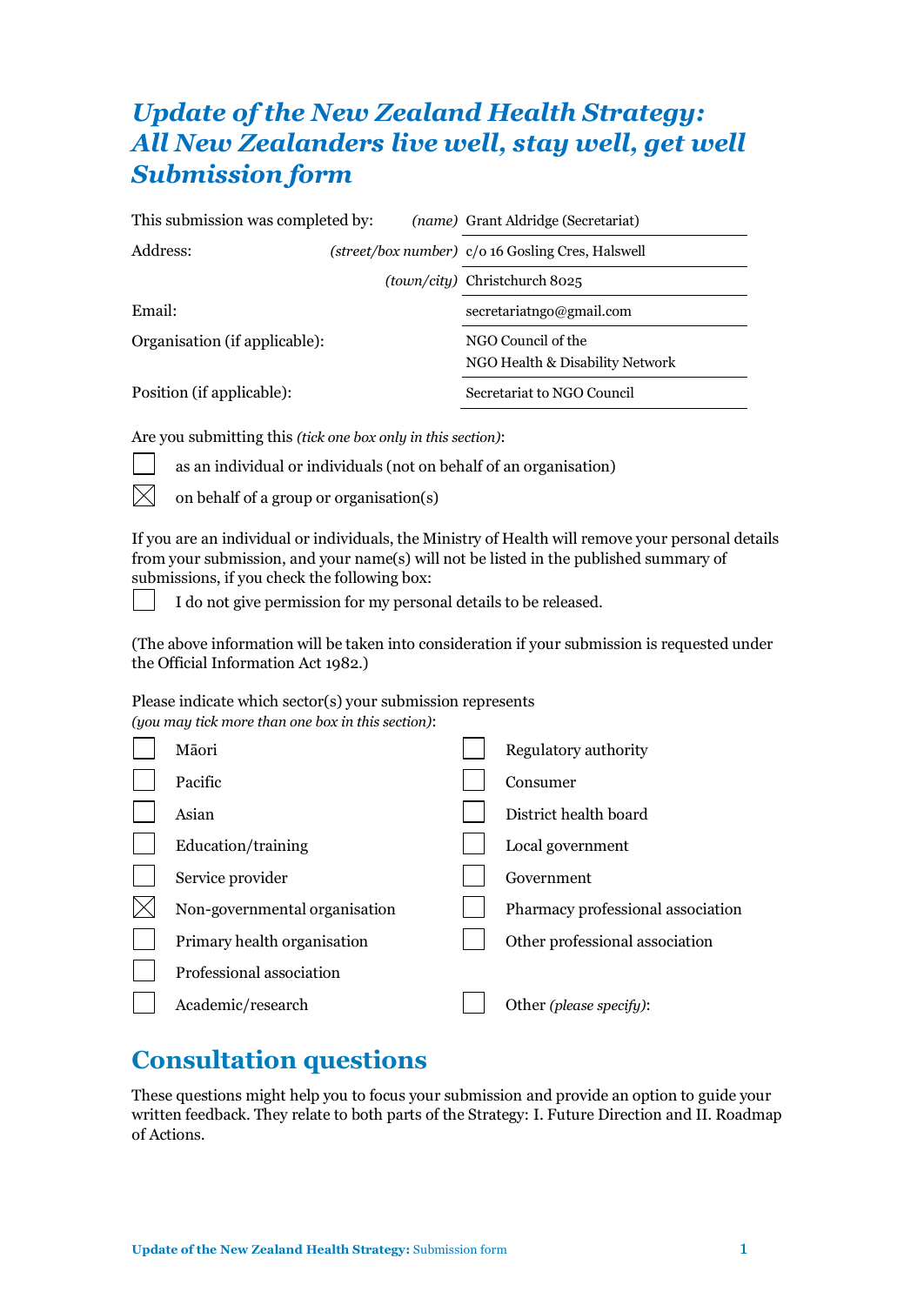# *Update of the New Zealand Health Strategy: All New Zealanders live well, stay well, get well Submission form*

| This submission was completed by: |  | (name) Grant Aldridge (Secretariat)                   |  |
|-----------------------------------|--|-------------------------------------------------------|--|
| Address:                          |  | (street/box number) c/o 16 Gosling Cres, Halswell     |  |
|                                   |  | <i>(town/city)</i> Christchurch 8025                  |  |
| Email:                            |  | secretariatngo@gmail.com                              |  |
| Organisation (if applicable):     |  | NGO Council of the<br>NGO Health & Disability Network |  |
| Position (if applicable):         |  | Secretariat to NGO Council                            |  |

Are you submitting this *(tick one box only in this section)*:



as an individual or individuals (not on behalf of an organisation)

on behalf of a group or organisation(s)

If you are an individual or individuals, the Ministry of Health will remove your personal details from your submission, and your name(s) will not be listed in the published summary of submissions, if you check the following box:

I do not give permission for my personal details to be released.

(The above information will be taken into consideration if your submission is requested under the Official Information Act 1982.)

Please indicate which sector(s) your submission represents *(you may tick more than one box in this section)*:

| Māori                         | Regulatory authority              |
|-------------------------------|-----------------------------------|
| Pacific                       | Consumer                          |
| Asian                         | District health board             |
| Education/training            | Local government                  |
| Service provider              | Government                        |
| Non-governmental organisation | Pharmacy professional association |
| Primary health organisation   | Other professional association    |
| Professional association      |                                   |
| Academic/research             | Other (please specify):           |
|                               |                                   |

# **Consultation questions**

These questions might help you to focus your submission and provide an option to guide your written feedback. They relate to both parts of the Strategy: I. Future Direction and II. Roadmap of Actions.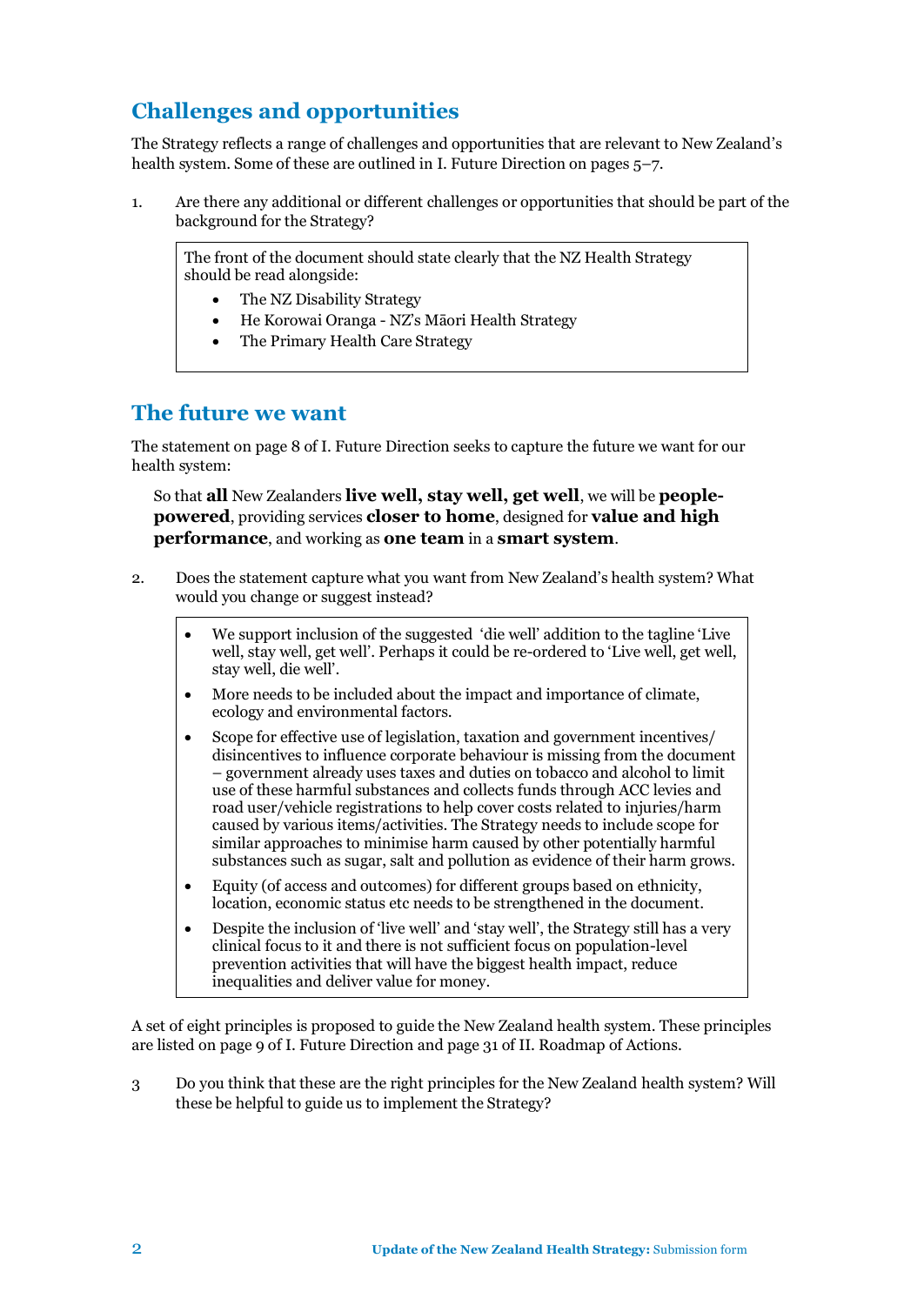## **Challenges and opportunities**

The Strategy reflects a range of challenges and opportunities that are relevant to New Zealand's health system. Some of these are outlined in I. Future Direction on pages 5–7.

1. Are there any additional or different challenges or opportunities that should be part of the background for the Strategy?

The front of the document should state clearly that the NZ Health Strategy should be read alongside:

- The NZ Disability Strategy
- He Korowai Oranga NZ's Māori Health Strategy
- The Primary Health Care Strategy

### **The future we want**

The statement on page 8 of I. Future Direction seeks to capture the future we want for our health system:

So that **all** New Zealanders **live well, stay well, get well**, we will be **peoplepowered**, providing services **closer to home**, designed for **value and high performance**, and working as **one team** in a **smart system**.

- 2. Does the statement capture what you want from New Zealand's health system? What would you change or suggest instead?
	- We support inclusion of the suggested 'die well' addition to the tagline 'Live well, stay well, get well'. Perhaps it could be re-ordered to 'Live well, get well, stay well, die well'.
	- More needs to be included about the impact and importance of climate, ecology and environmental factors.
	- Scope for effective use of legislation, taxation and government incentives/ disincentives to influence corporate behaviour is missing from the document – government already uses taxes and duties on tobacco and alcohol to limit use of these harmful substances and collects funds through ACC levies and road user/vehicle registrations to help cover costs related to injuries/harm caused by various items/activities. The Strategy needs to include scope for similar approaches to minimise harm caused by other potentially harmful substances such as sugar, salt and pollution as evidence of their harm grows.
	- Equity (of access and outcomes) for different groups based on ethnicity, location, economic status etc needs to be strengthened in the document.
	- Despite the inclusion of 'live well' and 'stay well', the Strategy still has a very clinical focus to it and there is not sufficient focus on population-level prevention activities that will have the biggest health impact, reduce inequalities and deliver value for money.

A set of eight principles is proposed to guide the New Zealand health system. These principles are listed on page 9 of I. Future Direction and page 31 of II. Roadmap of Actions.

3 Do you think that these are the right principles for the New Zealand health system? Will these be helpful to guide us to implement the Strategy?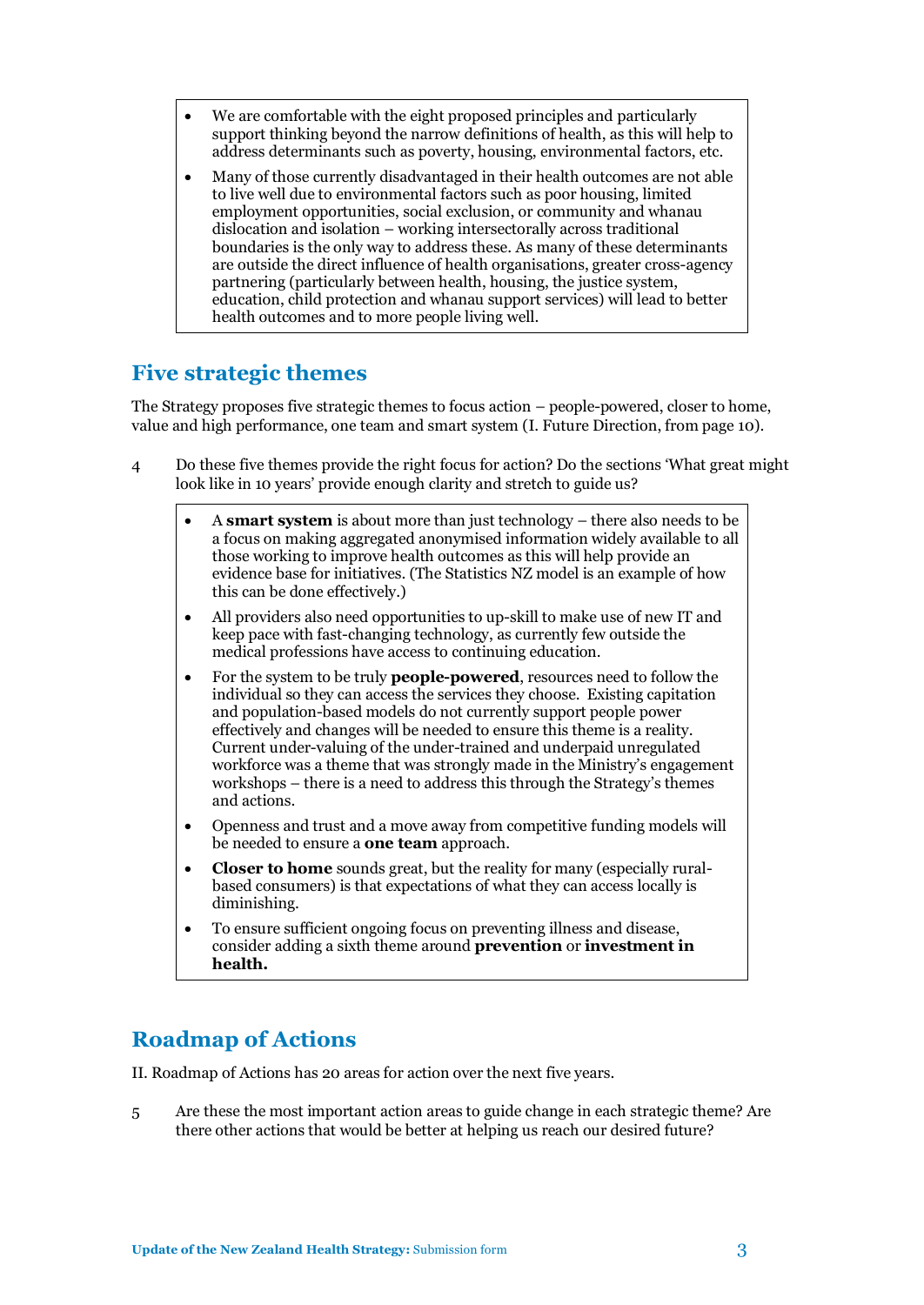- We are comfortable with the eight proposed principles and particularly support thinking beyond the narrow definitions of health, as this will help to address determinants such as poverty, housing, environmental factors, etc.
- Many of those currently disadvantaged in their health outcomes are not able to live well due to environmental factors such as poor housing, limited employment opportunities, social exclusion, or community and whanau dislocation and isolation – working intersectorally across traditional boundaries is the only way to address these. As many of these determinants are outside the direct influence of health organisations, greater cross-agency partnering (particularly between health, housing, the justice system, education, child protection and whanau support services) will lead to better health outcomes and to more people living well.

### **Five strategic themes**

The Strategy proposes five strategic themes to focus action – people-powered, closer to home, value and high performance, one team and smart system (I. Future Direction, from page 10).

- 4 Do these five themes provide the right focus for action? Do the sections 'What great might look like in 10 years' provide enough clarity and stretch to guide us?
	- A **smart system** is about more than just technology there also needs to be a focus on making aggregated anonymised information widely available to all those working to improve health outcomes as this will help provide an evidence base for initiatives. (The Statistics NZ model is an example of how this can be done effectively.)
	- All providers also need opportunities to up-skill to make use of new IT and keep pace with fast-changing technology, as currently few outside the medical professions have access to continuing education.
	- For the system to be truly **people-powered**, resources need to follow the individual so they can access the services they choose. Existing capitation and population-based models do not currently support people power effectively and changes will be needed to ensure this theme is a reality. Current under-valuing of the under-trained and underpaid unregulated workforce was a theme that was strongly made in the Ministry's engagement workshops – there is a need to address this through the Strategy's themes and actions.
	- Openness and trust and a move away from competitive funding models will be needed to ensure a **one team** approach.
	- **Closer to home** sounds great, but the reality for many (especially ruralbased consumers) is that expectations of what they can access locally is diminishing.
	- To ensure sufficient ongoing focus on preventing illness and disease, consider adding a sixth theme around **prevention** or **investment in health.**

## **Roadmap of Actions**

II. Roadmap of Actions has 20 areas for action over the next five years.

5 Are these the most important action areas to guide change in each strategic theme? Are there other actions that would be better at helping us reach our desired future?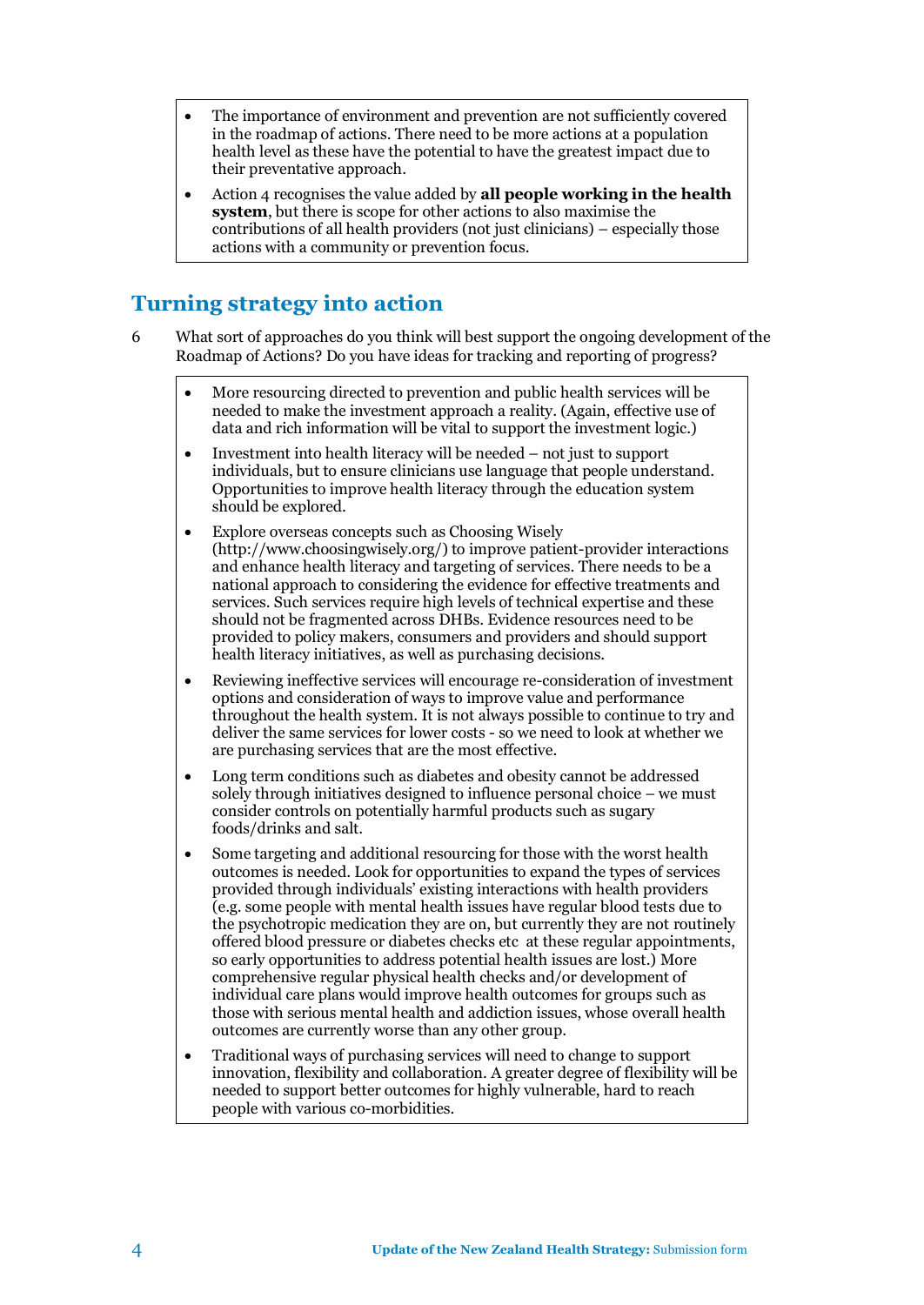- The importance of environment and prevention are not sufficiently covered in the roadmap of actions. There need to be more actions at a population health level as these have the potential to have the greatest impact due to their preventative approach.
- Action 4 recognises the value added by **all people working in the health system**, but there is scope for other actions to also maximise the contributions of all health providers (not just clinicians) – especially those actions with a community or prevention focus.

## **Turning strategy into action**

- 6 What sort of approaches do you think will best support the ongoing development of the Roadmap of Actions? Do you have ideas for tracking and reporting of progress?
	- More resourcing directed to prevention and public health services will be needed to make the investment approach a reality. (Again, effective use of data and rich information will be vital to support the investment logic.)
	- Investment into health literacy will be needed not just to support individuals, but to ensure clinicians use language that people understand. Opportunities to improve health literacy through the education system should be explored.
	- Explore overseas concepts such as Choosing Wisely [\(http://www.choosingwisely.org/\)](http://www.choosingwisely.org/) to improve patient-provider interactions and enhance health literacy and targeting of services. There needs to be a national approach to considering the evidence for effective treatments and services. Such services require high levels of technical expertise and these should not be fragmented across DHBs. Evidence resources need to be provided to policy makers, consumers and providers and should support health literacy initiatives, as well as purchasing decisions.
	- Reviewing ineffective services will encourage re-consideration of investment options and consideration of ways to improve value and performance throughout the health system. It is not always possible to continue to try and deliver the same services for lower costs - so we need to look at whether we are purchasing services that are the most effective.
	- Long term conditions such as diabetes and obesity cannot be addressed solely through initiatives designed to influence personal choice – we must consider controls on potentially harmful products such as sugary foods/drinks and salt.
	- Some targeting and additional resourcing for those with the worst health outcomes is needed. Look for opportunities to expand the types of services provided through individuals' existing interactions with health providers (e.g. some people with mental health issues have regular blood tests due to the psychotropic medication they are on, but currently they are not routinely offered blood pressure or diabetes checks etc at these regular appointments, so early opportunities to address potential health issues are lost.) More comprehensive regular physical health checks and/or development of individual care plans would improve health outcomes for groups such as those with serious mental health and addiction issues, whose overall health outcomes are currently worse than any other group.
	- Traditional ways of purchasing services will need to change to support innovation, flexibility and collaboration. A greater degree of flexibility will be needed to support better outcomes for highly vulnerable, hard to reach people with various co-morbidities.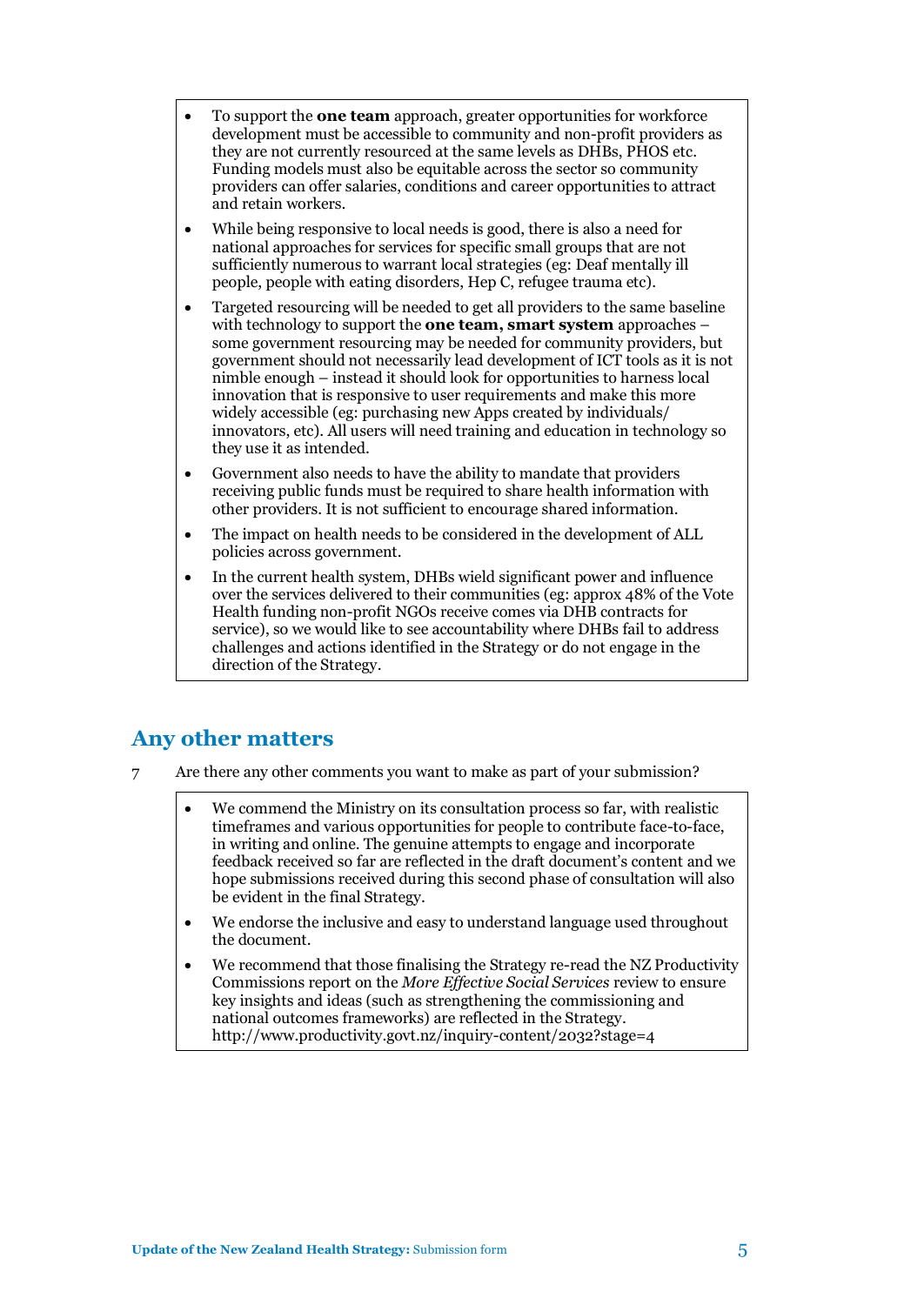- To support the **one team** approach, greater opportunities for workforce development must be accessible to community and non-profit providers as they are not currently resourced at the same levels as DHBs, PHOS etc. Funding models must also be equitable across the sector so community providers can offer salaries, conditions and career opportunities to attract and retain workers.
- While being responsive to local needs is good, there is also a need for national approaches for services for specific small groups that are not sufficiently numerous to warrant local strategies (eg: Deaf mentally ill people, people with eating disorders, Hep C, refugee trauma etc).
- Targeted resourcing will be needed to get all providers to the same baseline with technology to support the **one team, smart system** approaches – some government resourcing may be needed for community providers, but government should not necessarily lead development of ICT tools as it is not nimble enough – instead it should look for opportunities to harness local innovation that is responsive to user requirements and make this more widely accessible (eg: purchasing new Apps created by individuals/ innovators, etc). All users will need training and education in technology so they use it as intended.
- Government also needs to have the ability to mandate that providers receiving public funds must be required to share health information with other providers. It is not sufficient to encourage shared information.
- The impact on health needs to be considered in the development of ALL policies across government.
- In the current health system, DHBs wield significant power and influence over the services delivered to their communities (eg: approx 48% of the Vote Health funding non-profit NGOs receive comes via DHB contracts for service), so we would like to see accountability where DHBs fail to address challenges and actions identified in the Strategy or do not engage in the direction of the Strategy.

## **Any other matters**

- 7 Are there any other comments you want to make as part of your submission?
	- We commend the Ministry on its consultation process so far, with realistic timeframes and various opportunities for people to contribute face-to-face, in writing and online. The genuine attempts to engage and incorporate feedback received so far are reflected in the draft document's content and we hope submissions received during this second phase of consultation will also be evident in the final Strategy.
	- We endorse the inclusive and easy to understand language used throughout the document.
	- We recommend that those finalising the Strategy re-read the NZ Productivity Commissions report on the *More Effective Social Services* review to ensure key insights and ideas (such as strengthening the commissioning and national outcomes frameworks) are reflected in the Strategy. <http://www.productivity.govt.nz/inquiry-content/2032?stage=4>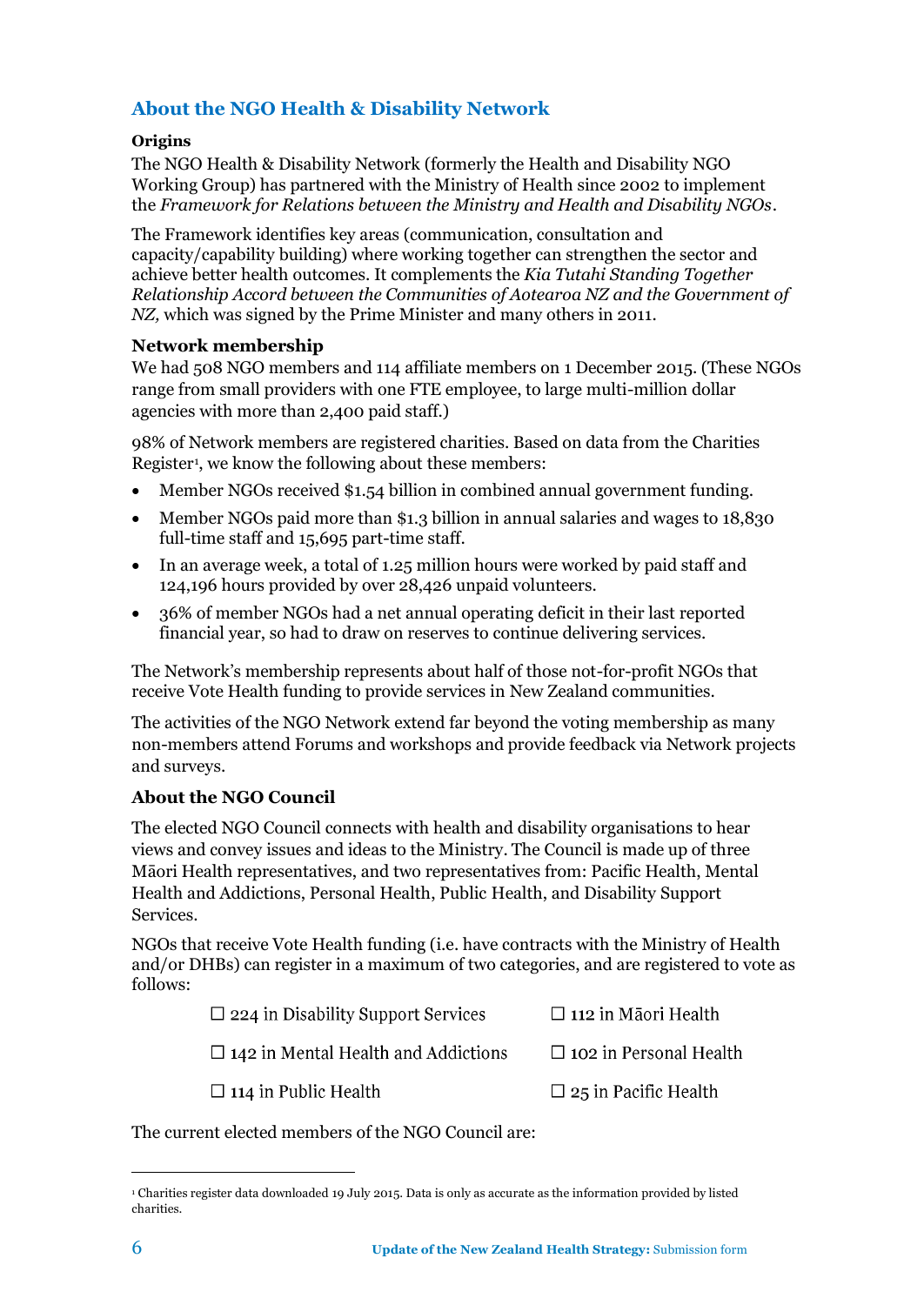### **About the NGO Health & Disability Network**

#### **Origins**

The NGO Health & Disability Network (formerly the Health and Disability NGO Working Group) has partnered with the Ministry of Health since 2002 to implement the *[Framework for Relations between the Ministry and Health and Disability NGOs](http://ngo.health.govt.nz/resources/ministry-health-publications/framework-relations)*.

The Framework identifies key areas (communication, consultation and capacity/capability building) where working together can strengthen the sector and achieve better health outcomes. It complements the *[Kia Tutahi Standing Together](http://www.dia.govt.nz/KiaTutahi)  [Relationship Accord between the Communities of Aotearoa NZ and the Government of](http://www.dia.govt.nz/KiaTutahi)  [NZ,](http://www.dia.govt.nz/KiaTutahi)* which was signed by the Prime Minister and many others in 2011.

#### **Network membership**

We had 508 NGO members and 114 affiliate members on 1 December 2015. (These NGOs range from small providers with one FTE employee, to large multi-million dollar agencies with more than 2,400 paid staff.)

98% of Network members are registered charities. Based on data from the Charities Register<sup>1</sup>, we know the following about these members:

- Member NGOs received \$1.54 billion in combined annual government funding.
- Member NGOs paid more than \$1.3 billion in annual salaries and wages to 18,830 full-time staff and 15,695 part-time staff.
- In an average week, a total of 1.25 million hours were worked by paid staff and 124,196 hours provided by over 28,426 unpaid volunteers.
- 36% of member NGOs had a net annual operating deficit in their last reported financial year, so had to draw on reserves to continue delivering services.

The Network's membership represents about half of those not-for-profit NGOs that receive Vote Health funding to provide services in New Zealand communities.

The activities of the NGO Network extend far beyond the voting membership as many non-members attend Forums and workshops and provide feedback via Network projects and surveys.

#### **About the NGO Council**

The elected NGO Council connects with health and disability organisations to hear views and convey issues and ideas to the Ministry. The Council is made up of three Māori Health representatives, and two representatives from: Pacific Health, Mental Health and Addictions, Personal Health, Public Health, and Disability Support Services.

NGOs that receive Vote Health funding (i.e. have contracts with the Ministry of Health and/or DHBs) can register in a maximum of two categories, and are registered to vote as follows:

| $\Box$ 224 in Disability Support Services  | $\Box$ 112 in Māori Health    |
|--------------------------------------------|-------------------------------|
| $\Box$ 142 in Mental Health and Addictions | $\Box$ 102 in Personal Health |
| $\Box$ 114 in Public Health                | $\Box$ 25 in Pacific Health   |

The current elected members of the NGO Council are:

 $\overline{a}$ 

<sup>1</sup> [Charities register data](https://www.charities.govt.nz/charities-in-new-zealand/the-charities-register/) downloaded 19 July 2015. Data is only as accurate as the information provided by listed charities.